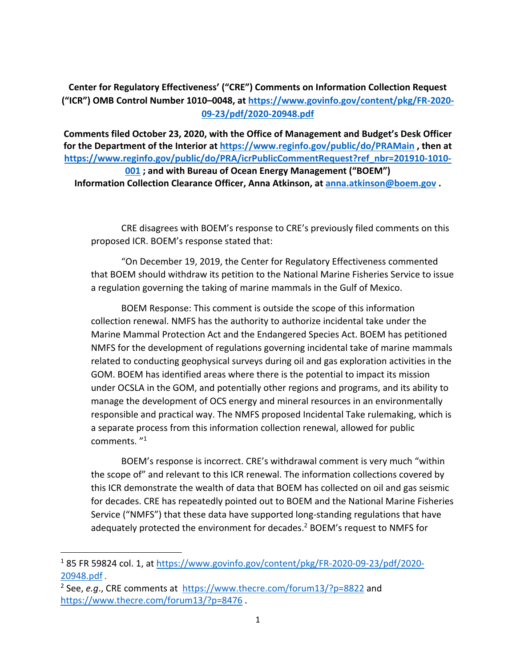## **Center for Regulatory Effectiveness' ("CRE") Comments on Information Collection Request ("ICR") OMB Control Number 1010–0048, at https://www.govinfo.gov/content/pkg/FR-2020- 09-23/pdf/2020-20948.pdf**

**Comments filed October 23, 2020, with the Office of Management and Budget's Desk Officer for the Department of the Interior at https://www.reginfo.gov/public/do/PRAMain , then at https://www.reginfo.gov/public/do/PRA/icrPublicCommentRequest?ref\_nbr=201910-1010- 001 ; and with Bureau of Ocean Energy Management ("BOEM") Information Collection Clearance Officer, Anna Atkinson, at anna.atkinson@boem.gov .**

CRE disagrees with BOEM's response to CRE's previously filed comments on this proposed ICR. BOEM's response stated that:

"On December 19, 2019, the Center for Regulatory Effectiveness commented that BOEM should withdraw its petition to the National Marine Fisheries Service to issue a regulation governing the taking of marine mammals in the Gulf of Mexico.

BOEM Response: This comment is outside the scope of this information collection renewal. NMFS has the authority to authorize incidental take under the Marine Mammal Protection Act and the Endangered Species Act. BOEM has petitioned NMFS for the development of regulations governing incidental take of marine mammals related to conducting geophysical surveys during oil and gas exploration activities in the GOM. BOEM has identified areas where there is the potential to impact its mission under OCSLA in the GOM, and potentially other regions and programs, and its ability to manage the development of OCS energy and mineral resources in an environmentally responsible and practical way. The NMFS proposed Incidental Take rulemaking, which is a separate process from this information collection renewal, allowed for public comments. "1

BOEM's response is incorrect. CRE's withdrawal comment is very much "within the scope of" and relevant to this ICR renewal. The information collections covered by this ICR demonstrate the wealth of data that BOEM has collected on oil and gas seismic for decades. CRE has repeatedly pointed out to BOEM and the National Marine Fisheries Service ("NMFS") that these data have supported long-standing regulations that have adequately protected the environment for decades.<sup>2</sup> BOEM's request to NMFS for

<sup>1</sup> 85 FR 59824 col. 1, at https://www.govinfo.gov/content/pkg/FR-2020-09-23/pdf/2020- 20948.pdf .

<sup>2</sup> See, *e.g*., CRE comments at https://www.thecre.com/forum13/?p=8822 and https://www.thecre.com/forum13/?p=8476 .